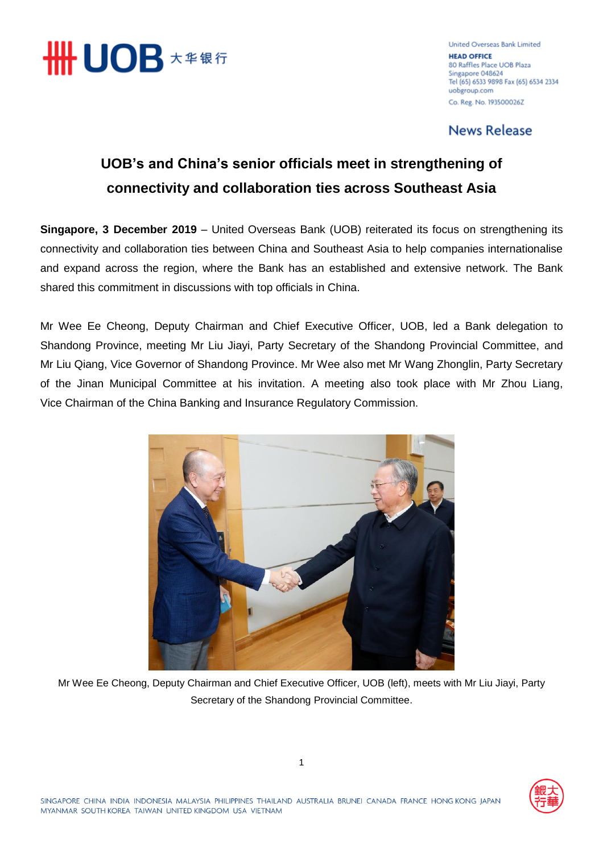

**United Overseas Bank Limited HEAD OFFICE** 80 Raffles Place UOB Plaza Singapore 048624 Tel (65) 6533 9898 Fax (65) 6534 2334 uobgroup.com Co. Reg. No. 193500026Z

**News Release** 

## **UOB's and China's senior officials meet in strengthening of connectivity and collaboration ties across Southeast Asia**

**Singapore, 3 December 2019** – United Overseas Bank (UOB) reiterated its focus on strengthening its connectivity and collaboration ties between China and Southeast Asia to help companies internationalise and expand across the region, where the Bank has an established and extensive network. The Bank shared this commitment in discussions with top officials in China.

Mr Wee Ee Cheong, Deputy Chairman and Chief Executive Officer, UOB, led a Bank delegation to Shandong Province, meeting Mr Liu Jiayi, Party Secretary of the Shandong Provincial Committee, and Mr Liu Qiang, Vice Governor of Shandong Province. Mr Wee also met Mr Wang Zhonglin, Party Secretary of the Jinan Municipal Committee at his invitation. A meeting also took place with Mr Zhou Liang, Vice Chairman of the China Banking and Insurance Regulatory Commission.



Mr Wee Ee Cheong, Deputy Chairman and Chief Executive Officer, UOB (left), meets with Mr Liu Jiayi, Party Secretary of the Shandong Provincial Committee.

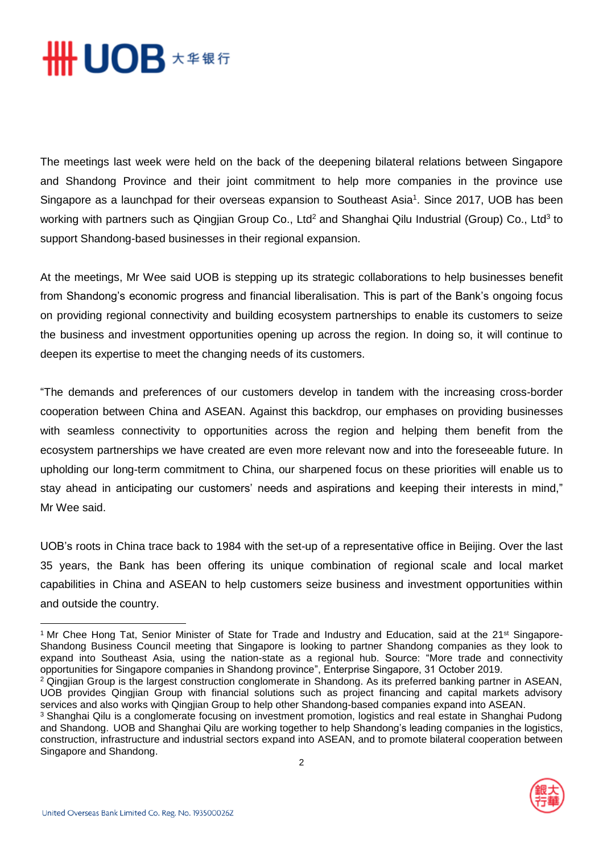

The meetings last week were held on the back of the deepening bilateral relations between Singapore and Shandong Province and their joint commitment to help more companies in the province use Singapore as a launchpad for their overseas expansion to Southeast Asia<sup>1</sup>. Since 2017, UOB has been working with partners such as Qingjian Group Co., Ltd<sup>2</sup> and Shanghai Qilu Industrial (Group) Co., Ltd<sup>3</sup> to support Shandong-based businesses in their regional expansion.

At the meetings, Mr Wee said UOB is stepping up its strategic collaborations to help businesses benefit from Shandong's economic progress and financial liberalisation. This is part of the Bank's ongoing focus on providing regional connectivity and building ecosystem partnerships to enable its customers to seize the business and investment opportunities opening up across the region. In doing so, it will continue to deepen its expertise to meet the changing needs of its customers.

"The demands and preferences of our customers develop in tandem with the increasing cross-border cooperation between China and ASEAN. Against this backdrop, our emphases on providing businesses with seamless connectivity to opportunities across the region and helping them benefit from the ecosystem partnerships we have created are even more relevant now and into the foreseeable future. In upholding our long-term commitment to China, our sharpened focus on these priorities will enable us to stay ahead in anticipating our customers' needs and aspirations and keeping their interests in mind," Mr Wee said.

UOB's roots in China trace back to 1984 with the set-up of a representative office in Beijing. Over the last 35 years, the Bank has been offering its unique combination of regional scale and local market capabilities in China and ASEAN to help customers seize business and investment opportunities within and outside the country.

<sup>&</sup>lt;sup>3</sup> Shanghai Qilu is a conglomerate focusing on investment promotion, logistics and real estate in Shanghai Pudong and Shandong. UOB and Shanghai Qilu are working together to help Shandong's leading companies in the logistics, construction, infrastructure and industrial sectors expand into ASEAN, and to promote bilateral cooperation between Singapore and Shandong.



 $\overline{a}$ 

<sup>&</sup>lt;sup>1</sup> Mr Chee Hong Tat, Senior Minister of State for Trade and Industry and Education, said at the 21<sup>st</sup> Singapore-Shandong Business Council meeting that Singapore is looking to partner Shandong companies as they look to expand into Southeast Asia, using the nation-state as a regional hub. Source: "More trade and connectivity opportunities for Singapore companies in Shandong province", Enterprise Singapore, 31 October 2019.

<sup>&</sup>lt;sup>2</sup> Qingjian Group is the largest construction conglomerate in Shandong. As its preferred banking partner in ASEAN, UOB provides Qingjian Group with financial solutions such as project financing and capital markets advisory services and also works with Qingjian Group to help other Shandong-based companies expand into ASEAN.